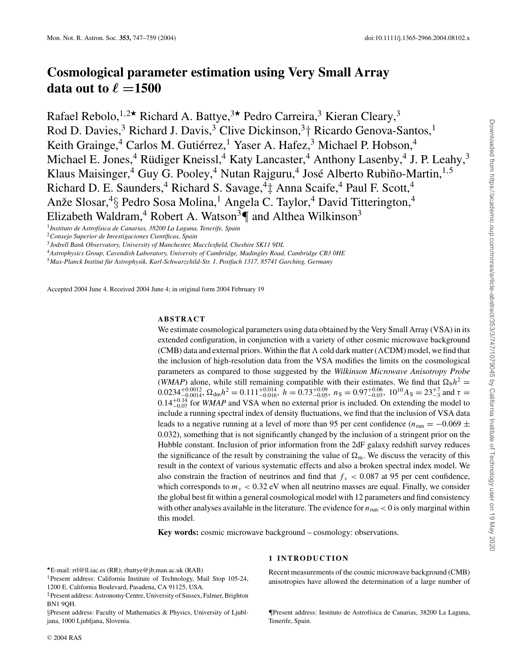# **Cosmological parameter estimation using Very Small Array data out to**  $\ell = 1500$

Rafael Rebolo,  $1.2 \star$  Richard A. Battye,  $3 \star$  Pedro Carreira,  $3$  Kieran Cleary,  $3$ Rod D. Davies,<sup>3</sup> Richard J. Davis,<sup>3</sup> Clive Dickinson,<sup>3</sup><sup>+</sup> Ricardo Genova-Santos,<sup>1</sup> Keith Grainge,<sup>4</sup> Carlos M. Gutiérrez,<sup>1</sup> Yaser A. Hafez,<sup>3</sup> Michael P. Hobson,<sup>4</sup> Michael E. Jones,<sup>4</sup> Rüdiger Kneissl,<sup>4</sup> Katy Lancaster,<sup>4</sup> Anthony Lasenby,<sup>4</sup> J. P. Leahy,<sup>3</sup> Klaus Maisinger,<sup>4</sup> Guy G. Pooley,<sup>4</sup> Nutan Rajguru,<sup>4</sup> José Alberto Rubiño-Martin,<sup>1,5</sup> Richard D. E. Saunders,<sup>4</sup> Richard S. Savage,<sup>4</sup>‡ Anna Scaife,<sup>4</sup> Paul F. Scott,<sup>4</sup> Anže Slosar,<sup>4</sup>§ Pedro Sosa Molina,<sup>1</sup> Angela C. Taylor,<sup>4</sup> David Titterington,<sup>4</sup> Elizabeth Waldram,<sup>4</sup> Robert A. Watson<sup>3</sup> $\P$  and Althea Wilkinson<sup>3</sup>

<sup>1</sup> Instituto de Astrofísica de Canarias, 38200 La Laguna, Tenerife, Spain

<sup>4</sup>*Astrophysics Group, Cavendish Laboratory, University of Cambridge, Madingley Road, Cambridge CB3 0HE*

<sup>5</sup>*Max-Planck Institut fur Astrophysik, Karl-Schwarzchild-Str. 1, Postfach 1317, 85741 Garching, Germany ¨*

Accepted 2004 June 4. Received 2004 June 4; in original form 2004 February 19

## **ABSTRACT**

We estimate cosmological parameters using data obtained by the Very Small Array (VSA) in its extended configuration, in conjunction with a variety of other cosmic microwave background (CMB) data and external priors. Within the flat  $\Lambda$  cold dark matter ( $\Lambda$ CDM) model, we find that the inclusion of high-resolution data from the VSA modifies the limits on the cosmological parameters as compared to those suggested by the *Wilkinson Microwave Anisotropy Probe* (*WMAP*) alone, while still remaining compatible with their estimates. We find that  $\Omega_b h^2 =$  $0.0234_{-0.0014}^{+0.0012}$ ,  $\Omega_{\rm dm}h^2 = 0.111_{-0.016}^{+0.014}$ ,  $h = 0.73_{-0.05}^{+0.06}$ ,  $n_S = 0.97_{-0.03}^{+0.06}$ ,  $10^{10}A_S = 23_{-3}^{+7}$  and  $\tau =$  $0.14_{-0.07}^{+0.14}$  for *WMAP* and VSA when no external prior is included. On extending the model to include a running spectral index of density fluctuations, we find that the inclusion of VSA data leads to a negative running at a level of more than 95 per cent confidence ( $n_{\text{run}} = -0.069 \pm 0.000$ 0.032), something that is not significantly changed by the inclusion of a stringent prior on the Hubble constant. Inclusion of prior information from the 2dF galaxy redshift survey reduces the significance of the result by constraining the value of  $\Omega_{\rm m}$ . We discuss the veracity of this result in the context of various systematic effects and also a broken spectral index model. We also constrain the fraction of neutrinos and find that  $f_v < 0.087$  at 95 per cent confidence, which corresponds to  $m<sub>v</sub> < 0.32$  eV when all neutrino masses are equal. Finally, we consider the global best fit within a general cosmological model with 12 parameters and find consistency with other analyses available in the literature. The evidence for  $n_{\text{run}} < 0$  is only marginal within this model.

**Key words:** cosmic microwave background – cosmology: observations.

E-mail: rrl@ll.iac.es (RR); rbattye@jb.man.ac.uk (RAB)

†Present address: California Institute of Technology, Mail Stop 105-24, 1200 E. California Boulevard, Pasadena, CA 91125, USA.

# **1 INTRODUCTION**

Recent measurements of the cosmic microwave background (CMB) anisotropies have allowed the determination of a large number of

¶Present address: Instituto de Astrof´ısica de Canarias, 38200 La Laguna, Tenerife, Spain.

<sup>&</sup>lt;sup>2</sup> Consejo Superior de Investigaciones Científicas, Spain

<sup>3</sup>*Jodrell Bank Observatory, University of Manchester, Macclesfield, Cheshire SK11 9DL*

<sup>‡</sup>Present address: Astronomy Centre, University of Sussex, Falmer, Brighton BN1 9QH.

<sup>§</sup>Present address: Faculty of Mathematics & Physics, University of Ljubljana, 1000 Ljubljana, Slovenia.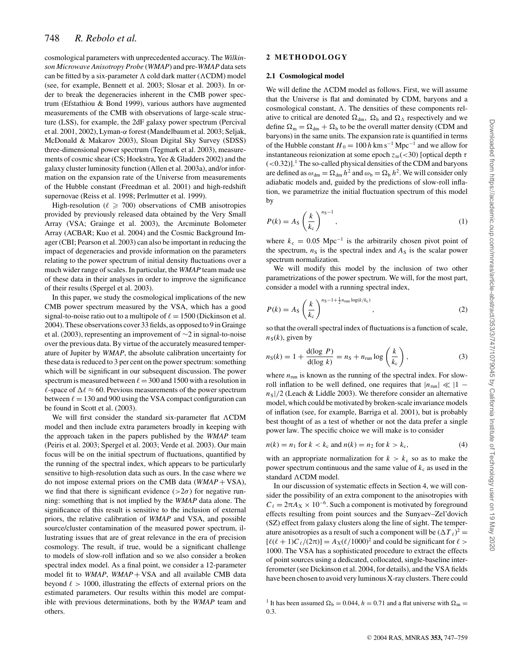cosmological parameters with unprecedented accuracy. The *Wilkinson Microwave Anisotropy Probe* (*WMAP*) and pre-*WMAP* data sets can be fitted by a six-parameter  $\Lambda$  cold dark matter ( $\Lambda$ CDM) model (see, for example, Bennett et al. 2003; Slosar et al. 2003). In order to break the degeneracies inherent in the CMB power spectrum (Efstathiou & Bond 1999), various authors have augmented measurements of the CMB with observations of large-scale structure (LSS), for example, the 2dF galaxy power spectrum (Percival et al. 2001, 2002), Lyman- $\alpha$  forest (Mandelbaum et al. 2003; Seljak, McDonald & Makarov 2003), Sloan Digital Sky Survey (SDSS) three-dimensional power spectrum (Tegmark et al. 2003), measurements of cosmic shear (CS; Hoekstra, Yee & Gladders 2002) and the galaxy cluster luminosity function (Allen et al. 2003a), and/or information on the expansion rate of the Universe from measurements of the Hubble constant (Freedman et al. 2001) and high-redshift supernovae (Reiss et al. 1998; Perlmutter et al. 1999).

High-resolution ( $\ell \ge 700$ ) observations of CMB anisotropies provided by previously released data obtained by the Very Small Array (VSA; Grainge et al. 2003), the Arcminute Bolometer Array (ACBAR; Kuo et al. 2004) and the Cosmic Background Imager (CBI; Pearson et al. 2003) can also be important in reducing the impact of degeneracies and provide information on the parameters relating to the power spectrum of initial density fluctuations over a much wider range of scales. In particular, the *WMAP* team made use of these data in their analyses in order to improve the significance of their results (Spergel et al. 2003).

In this paper, we study the cosmological implications of the new CMB power spectrum measured by the VSA, which has a good signal-to-noise ratio out to a multipole of  $\ell = 1500$  (Dickinson et al. 2004). These observations cover 33 fields, as opposed to 9 in Grainge et al. (2003), representing an improvement of ∼2 in signal-to-noise over the previous data. By virtue of the accurately measured temperature of Jupiter by *WMAP*, the absolute calibration uncertainty for these data is reduced to 3 per cent on the power spectrum: something which will be significant in our subsequent discussion. The power spectrum is measured between  $\ell = 300$  and 1500 with a resolution in  $\ell$ -space of  $\Delta \ell \approx 60$ . Previous measurements of the power spectrum between  $\ell = 130$  and 900 using the VSA compact configuration can be found in Scott et al. (2003).

We will first consider the standard six-parameter flat  $\Lambda$ CDM model and then include extra parameters broadly in keeping with the approach taken in the papers published by the *WMAP* team (Peiris et al. 2003; Spergel et al. 2003; Verde et al. 2003). Our main focus will be on the initial spectrum of fluctuations, quantified by the running of the spectral index, which appears to be particularly sensitive to high-resolution data such as ours. In the case where we do not impose external priors on the CMB data (*WMAP* + VSA), we find that there is significant evidence ( $>2\sigma$ ) for negative running: something that is not implied by the *WMAP* data alone. The significance of this result is sensitive to the inclusion of external priors, the relative calibration of *WMAP* and VSA, and possible source/cluster contamination of the measured power spectrum, illustrating issues that are of great relevance in the era of precision cosmology. The result, if true, would be a significant challenge to models of slow-roll inflation and so we also consider a broken spectral index model. As a final point, we consider a 12-parameter model fit to *WMAP*, *WMAP* + VSA and all available CMB data beyond  $\ell > 1000$ , illustrating the effects of external priors on the estimated parameters. Our results within this model are compatible with previous determinations, both by the *WMAP* team and others.

## **2 METHODOLOGY**

#### **2.1 Cosmological model**

We will define the  $\Lambda$ CDM model as follows. First, we will assume that the Universe is flat and dominated by CDM, baryons and a cosmological constant,  $\Lambda$ . The densities of these components relative to critical are denoted  $\Omega_{dm}$ ,  $\Omega_b$  and  $\Omega_A$  respectively and we define  $\Omega_m = \Omega_{dm} + \Omega_b$  to be the overall matter density (CDM and baryons) in the same units. The expansion rate is quantified in terms of the Hubble constant  $H_0 = 100 h \text{ km s}^{-1} \text{ Mpc}^{-1}$  and we allow for instantaneous reionization at some epoch  $z_{\text{re}}$ (<30) [optical depth τ  $(<0.32$ ].<sup>1</sup> The so-called physical densities of the CDM and baryons are defined as  $\omega_{dm} = \Omega_{dm} h^2$  and  $\omega_b = \Omega_b h^2$ . We will consider only adiabatic models and, guided by the predictions of slow-roll inflation, we parametrize the initial fluctuation spectrum of this model by

$$
P(k) = A_S \left(\frac{k}{k_c}\right)^{n_S - 1},\tag{1}
$$

where  $k_c = 0.05$  Mpc<sup>-1</sup> is the arbitrarily chosen pivot point of the spectrum,  $n<sub>S</sub>$  is the spectral index and  $A<sub>S</sub>$  is the scalar power spectrum normalization.

We will modify this model by the inclusion of two other parametrizations of the power spectrum. We will, for the most part, consider a model with a running spectral index,

$$
P(k) = A_S \left(\frac{k}{k_c}\right)^{n_S - 1 + \frac{1}{2}n_{\text{run}} \log(k/k_c)},\tag{2}
$$

so that the overall spectral index of fluctuations is a function of scale,  $n_S(k)$ , given by

$$
n_S(k) = 1 + \frac{d(\log P)}{d(\log k)} = n_S + n_{\text{run}} \log \left(\frac{k}{k_c}\right),\tag{3}
$$

where  $n_{\text{run}}$  is known as the running of the spectral index. For slowroll inflation to be well defined, one requires that  $|n_{\text{run}}| \ll |1 - \frac{1}{2}$  $n<sub>S</sub>/2$  (Leach & Liddle 2003). We therefore consider an alternative model, which could be motivated by broken-scale invariance models of inflation (see, for example, Barriga et al. 2001), but is probably best thought of as a test of whether or not the data prefer a single power law. The specific choice we will make is to consider

$$
n(k) = n_1 \text{ for } k < k_c \text{ and } n(k) = n_2 \text{ for } k > k_c,\tag{4}
$$

with an appropriate normalization for  $k > k<sub>c</sub>$  so as to make the power spectrum continuous and the same value of  $k_c$  as used in the standard ACDM model.

In our discussion of systematic effects in Section 4, we will consider the possibility of an extra component to the anisotropies with  $C_{\ell} = 2\pi A_X \times 10^{-6}$ . Such a component is motivated by foreground effects resulting from point sources and the Sunyaev–Zel'dovich (SZ) effect from galaxy clusters along the line of sight. The temperature anisotropies as a result of such a component will be  $(\Delta T_\ell)^2$  =  $[\ell(\ell+1)C_{\ell}/(2\pi)] = A_X(\ell/1000)^2$  and could be significant for  $\ell >$ 1000. The VSA has a sophisticated procedure to extract the effects of point sources using a dedicated, collocated, single-baseline interferometer (see Dickinson et al. 2004, for details), and the VSA fields have been chosen to avoid very luminous X-ray clusters. There could

<sup>1</sup> It has been assumed  $\Omega_b = 0.044$ ,  $h = 0.71$  and a flat universe with  $\Omega_m =$ 0.3.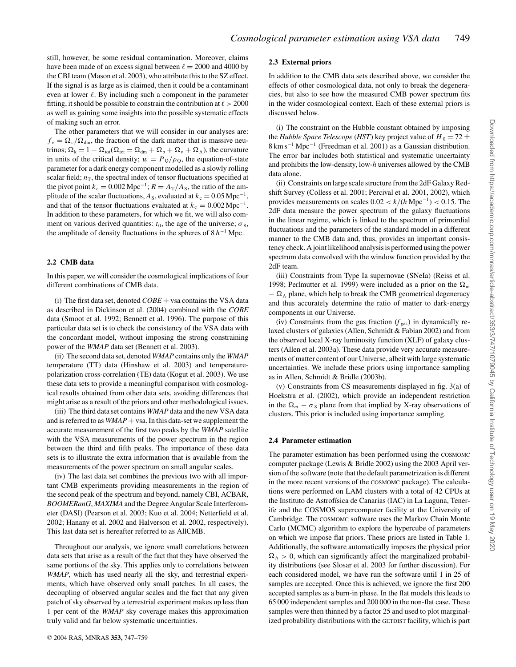still, however, be some residual contamination. Moreover, claims have been made of an excess signal between  $\ell = 2000$  and 4000 by the CBI team (Mason et al. 2003), who attribute this to the SZ effect. If the signal is as large as is claimed, then it could be a contaminant even at lower  $\ell$ . By including such a component in the parameter fitting, it should be possible to constrain the contribution at  $\ell > 2000$ as well as gaining some insights into the possible systematic effects of making such an error.

The other parameters that we will consider in our analyses are:  $f_v = \Omega_v / \Omega_{dm}$ , the fraction of the dark matter that is massive neutrinos;  $\Omega_k = 1 - \Omega_{tot}(\Omega_{tot} = \Omega_{dm} + \Omega_b + \Omega_v + \Omega_\Lambda)$ , the curvature in units of the critical density;  $w = P_0/\rho_0$ , the equation-of-state parameter for a dark energy component modelled as a slowly rolling scalar field;  $n<sub>T</sub>$ , the spectral index of tensor fluctuations specified at the pivot point  $k_c = 0.002 \text{ Mpc}^{-1}$ ;  $R = A_T/A_s$ , the ratio of the amplitude of the scalar fluctuations,  $A_s$ , evaluated at  $k_c = 0.05$  Mpc<sup>-1</sup>, and that of the tensor fluctuations evaluated at  $k_c = 0.002 \text{ Mpc}^{-1}$ . In addition to these parameters, for which we fit, we will also comment on various derived quantities:  $t_0$ , the age of the universe;  $\sigma_8$ , the amplitude of density fluctuations in the spheres of 8 *h*−<sup>1</sup> Mpc.

## **2.2 CMB data**

In this paper, we will consider the cosmological implications of four different combinations of CMB data.

(i) The first data set, denoted *COBE* + vsa contains the VSA data as described in Dickinson et al. (2004) combined with the *COBE* data (Smoot et al. 1992; Bennett et al. 1996). The purpose of this particular data set is to check the consistency of the VSA data with the concordant model, without imposing the strong constraining power of the *WMAP* data set (Bennett et al. 2003).

(ii) The second data set, denoted *WMAP* contains only the *WMAP* temperature (TT) data (Hinshaw et al. 2003) and temperaturepolarization cross-correlation (TE) data (Kogut et al. 2003). We use these data sets to provide a meaningful comparison with cosmological results obtained from other data sets, avoiding differences that might arise as a result of the priors and other methodological issues.

(iii) The third data set contains *WMAP* data and the new VSA data and is referred to as  $WMAP + vsa$ . In this data-set we supplement the accurate measurement of the first two peaks by the *WMAP* satellite with the VSA measurements of the power spectrum in the region between the third and fifth peaks. The importance of these data sets is to illustrate the extra information that is available from the measurements of the power spectrum on small angular scales.

(iv) The last data set combines the previous two with all important CMB experiments providing measurements in the region of the second peak of the spectrum and beyond, namely CBI, ACBAR, *BOOMERanG*, *MAXIMA* and the Degree Angular Scale Interferometer (DASI) (Pearson et al. 2003; Kuo et al. 2004; Netterfield et al. 2002; Hanany et al. 2002 and Halverson et al. 2002, respectively). This last data set is hereafter referred to as AllCMB.

Throughout our analysis, we ignore small correlations between data sets that arise as a result of the fact that they have observed the same portions of the sky. This applies only to correlations between *WMAP*, which has used nearly all the sky, and terrestrial experiments, which have observed only small patches. In all cases, the decoupling of observed angular scales and the fact that any given patch of sky observed by a terrestrial experiment makes up less than 1 per cent of the *WMAP* sky coverage makes this approximation truly valid and far below systematic uncertainties.

# <sup>C</sup> 2004 RAS, MNRAS **353,** 747–759

#### **2.3 External priors**

In addition to the CMB data sets described above, we consider the effects of other cosmological data, not only to break the degeneracies, but also to see how the measured CMB power spectrum fits in the wider cosmological context. Each of these external priors is discussed below.

(i) The constraint on the Hubble constant obtained by imposing the *Hubble Space Telescope* (*HST*) key project value of  $H_0 = 72 \pm 1$ 8 km s−<sup>1</sup> Mpc−<sup>1</sup> (Freedman et al. 2001) as a Gaussian distribution. The error bar includes both statistical and systematic uncertainty and prohibits the low-density, low-*h* universes allowed by the CMB data alone.

(ii) Constraints on large scale structure from the 2dF Galaxy Redshift Survey (Colless et al. 2001; Percival et al. 2001, 2002), which provides measurements on scales 0.02 < *k*/(*h* Mpc−1) < 0.15. The 2dF data measure the power spectrum of the galaxy fluctuations in the linear regime, which is linked to the spectrum of primordial fluctuations and the parameters of the standard model in a different manner to the CMB data and, thus, provides an important consistency check. A joint likelihood analysis is performed using the power spectrum data convolved with the window function provided by the 2dF team.

(iii) Constraints from Type Ia supernovae (SNeIa) (Reiss et al. 1998; Perlmutter et al. 1999) were included as a prior on the  $\Omega_{\rm m}$  $-\Omega_{\Lambda}$  plane, which help to break the CMB geometrical degeneracy and thus accurately determine the ratio of matter to dark-energy components in our Universe.

(iv) Constraints from the gas fraction  $(f_{\text{gas}})$  in dynamically relaxed clusters of galaxies (Allen, Schmidt & Fabian 2002) and from the observed local X-ray luminosity function (XLF) of galaxy clusters (Allen et al. 2003a). These data provide very accurate measurements of matter content of our Universe, albeit with large systematic uncertainties. We include these priors using importance sampling as in Allen, Schmidt & Bridle (2003b).

(v) Constraints from CS measurements displayed in fig. 3(a) of Hoekstra et al. (2002), which provide an independent restriction in the  $\Omega_m - \sigma_8$  plane from that implied by X-ray observations of clusters. This prior is included using importance sampling.

### **2.4 Parameter estimation**

The parameter estimation has been performed using the COSMOMC computer package (Lewis & Bridle 2002) using the 2003 April version of the software (note that the default parametrization is different in the more recent versions of the COSMOMC package). The calculations were performed on LAM clusters with a total of 42 CPUs at the Instituto de Astrofísica de Canarias (IAC) in La Laguna, Tenerife and the COSMOS supercomputer facility at the University of Cambridge. The COSMOMC software uses the Markov Chain Monte Carlo (MCMC) algorithm to explore the hypercube of parameters on which we impose flat priors. These priors are listed in Table 1. Additionally, the software automatically imposes the physical prior  $\Omega_{\Lambda} > 0$ , which can significantly affect the marginalized probability distributions (see Slosar et al. 2003 for further discussion). For each considered model, we have run the software until 1 in 25 of samples are accepted. Once this is achieved, we ignore the first 200 accepted samples as a burn-in phase. In the flat models this leads to 65 000 independent samples and 200 000 in the non-flat case. These samples were then thinned by a factor 25 and used to plot marginalized probability distributions with the GETDIST facility, which is part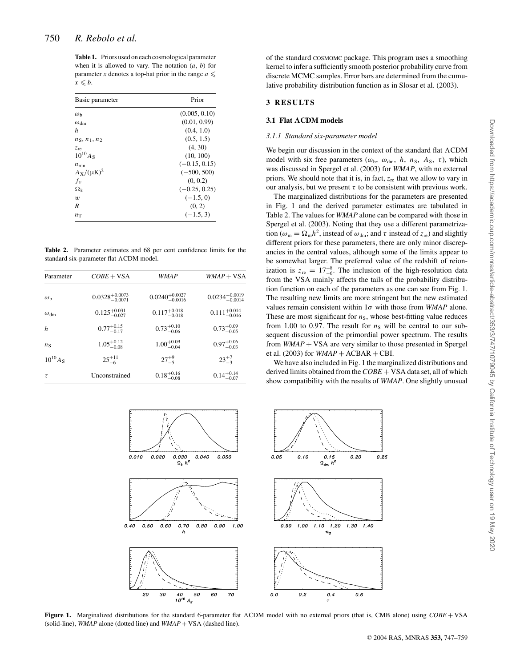**Table 1.** Priors used on each cosmological parameter when it is allowed to vary. The notation (*a*, *b*) for parameter *x* denotes a top-hat prior in the range  $a \leq$  $x \leq b$ .

| Basic parameter      | Prior           |  |
|----------------------|-----------------|--|
| $\omega_{\rm b}$     | (0.005, 0.10)   |  |
| $\omega_{\text{dm}}$ | (0.01, 0.99)    |  |
| h                    | (0.4, 1.0)      |  |
| $n_S, n_1, n_2$      | (0.5, 1.5)      |  |
| $z_{\rm re}$         | (4, 30)         |  |
| $10^{10} A_S$        | (10, 100)       |  |
| $n_{\rm run}$        | $(-0.15, 0.15)$ |  |
| $A_X/(\mu K)^2$      | $(-500, 500)$   |  |
| $f_v$                | (0, 0.2)        |  |
| $\Omega_{\rm k}$     | $(-0.25, 0.25)$ |  |
| $\boldsymbol{w}$     | $(-1.5, 0)$     |  |
| R                    | (0, 2)          |  |
| $n_{\rm T}$          | $(-1.5, 3)$     |  |

**Table 2.** Parameter estimates and 68 per cent confidence limits for the standard six-parameter flat ACDM model.

| Parameter         | $COBE + VSA$                 | WMAP                         | $WMAP + VSA$                 |  |
|-------------------|------------------------------|------------------------------|------------------------------|--|
| $\omega_{h}$      | $0.0328_{-0.0071}^{+0.0073}$ | $0.0240^{+0.0027}_{-0.0016}$ | $0.0234^{+0.0019}_{-0.0014}$ |  |
| $\omega_{\rm dm}$ | $0.125^{+0.031}_{-0.027}$    | $0.117^{+0.018}_{-0.018}$    | $0.111^{+0.014}_{-0.016}$    |  |
| $\boldsymbol{h}$  | $0.77^{+0.15}_{-0.17}$       | $0.73^{+0.10}_{-0.06}$       | $0.73^{+0.09}_{-0.05}$       |  |
| $n_{\rm S}$       | $1.05^{+0.12}_{-0.08}$       | $1.00^{+0.09}_{-0.04}$       | $0.97^{+0.06}_{-0.03}$       |  |
| $10^{10} A_{S}$   | $25^{+11}_{-6}$              | $27^{+9}_{-5}$               | $23^{+/}$                    |  |
| $\tau$            | Unconstrained                | $0.18^{+0.16}_{-0.08}$       | $0.14^{+0.14}_{-0.07}$       |  |



## **3 RESULTS**

#### **3.1 Flat ΛCDM models**

#### *3.1.1 Standard six-parameter model*

We begin our discussion in the context of the standard flat  $\Lambda \text{CDM}$ model with six free parameters ( $\omega_{\rm b}$ ,  $\omega_{\rm dm}$ , *h*, *n*<sub>S</sub>, *A*<sub>S</sub>, *τ*), which was discussed in Spergel et al. (2003) for *WMAP*, with no external priors. We should note that it is, in fact, *z*re that we allow to vary in our analysis, but we present  $\tau$  to be consistent with previous work.

The marginalized distributions for the parameters are presented in Fig. 1 and the derived parameter estimates are tabulated in Table 2. The values for *WMAP* alone can be compared with those in Spergel et al. (2003). Noting that they use a different parametrization ( $\omega_m = \Omega_m h^2$ , instead of  $\omega_{dm}$ ; and  $\tau$  instead of  $z_{re}$ ) and slightly different priors for these parameters, there are only minor discrepancies in the central values, although some of the limits appear to be somewhat larger. The preferred value of the redshift of reionization is  $z_{\text{re}} = 17^{+8}_{-6}$ . The inclusion of the high-resolution data from the VSA mainly affects the tails of the probability distribution function on each of the parameters as one can see from Fig. 1. The resulting new limits are more stringent but the new estimated values remain consistent within 1σ with those from *WMAP* alone. These are most significant for  $n<sub>S</sub>$ , whose best-fitting value reduces from 1.00 to 0.97. The result for  $n<sub>S</sub>$  will be central to our subsequent discussion of the primordial power spectrum. The results from *WMAP* + VSA are very similar to those presented in Spergel et al. (2003) for  $WMAP + ACBAR + CBI$ .

We have also included in Fig. 1 the marginalized distributions and derived limits obtained from the *COBE* + VSA data set, all of which show compatibility with the results of *WMAP*. One slightly unusual



Figure 1. Marginalized distributions for the standard 6-parameter flat  $\Lambda$ CDM model with no external priors (that is, CMB alone) using *COBE* + VSA (solid-line), *WMAP* alone (dotted line) and *WMAP* + VSA (dashed line).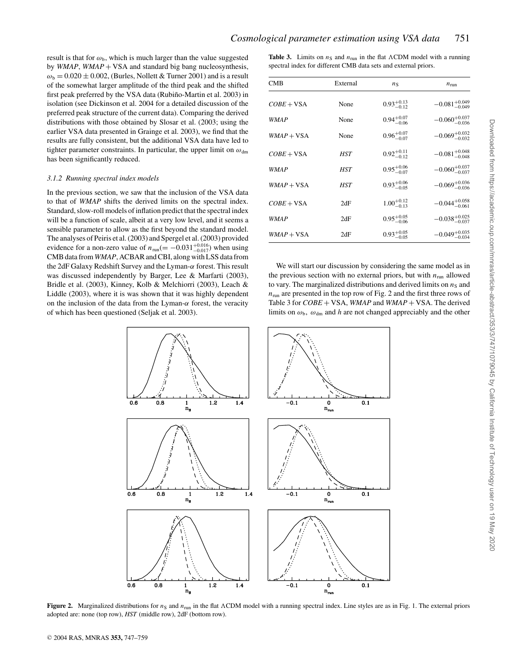result is that for  $\omega_{b}$ , which is much larger than the value suggested by *WMAP*, *WMAP* + VSA and standard big bang nucleosynthesis,  $\omega_b = 0.020 \pm 0.002$ , (Burles, Nollett & Turner 2001) and is a result of the somewhat larger amplitude of the third peak and the shifted first peak preferred by the VSA data (Rubiño-Martin et al. 2003) in isolation (see Dickinson et al. 2004 for a detailed discussion of the preferred peak structure of the current data). Comparing the derived distributions with those obtained by Slosar et al. (2003; using the earlier VSA data presented in Grainge et al. 2003), we find that the results are fully consistent, but the additional VSA data have led to tighter parameter constraints. In particular, the upper limit on  $\omega_{dm}$ has been significantly reduced.

#### *3.1.2 Running spectral index models*

In the previous section, we saw that the inclusion of the VSA data to that of *WMAP* shifts the derived limits on the spectral index. Standard, slow-roll models of inflation predict that the spectral index will be a function of scale, albeit at a very low level, and it seems a sensible parameter to allow as the first beyond the standard model. The analyses of Peiris et al. (2003) and Spergel et al. (2003) provided evidence for a non-zero value of  $n_{run} (= -0.031^{+0.016}_{-0.017})$  when using CMB data from *WMAP*, ACBAR and CBI, along with LSS data from the 2dF Galaxy Redshift Survey and the Lyman-α forest. This result was discussed independently by Barger, Lee & Marfarti (2003), Bridle et al. (2003), Kinney, Kolb & Melchiorri (2003), Leach & Liddle (2003), where it is was shown that it was highly dependent on the inclusion of the data from the Lyman- $\alpha$  forest, the veracity of which has been questioned (Seljak et al. 2003).

**Table 3.** Limits on  $n<sub>S</sub>$  and  $n<sub>run</sub>$  in the flat  $\Lambda$ CDM model with a running spectral index for different CMB data sets and external priors.

| <b>CMB</b>   | External | $n_{\rm S}$            | $n_{\text{run}}$           |  |
|--------------|----------|------------------------|----------------------------|--|
| $COBE + VSA$ | None     | $0.93_{-0.12}^{+0.13}$ | $-0.081_{-0.049}^{+0.049}$ |  |
| <b>WMAP</b>  | None     | $0.94^{+0.07}_{-0.06}$ | $-0.060^{+0.037}_{-0.036}$ |  |
| $WMAP + VSA$ | None     | $0.96^{+0.07}_{-0.07}$ | $-0.069_{-0.032}^{+0.032}$ |  |
| $COBE + VSA$ | HST      | $0.92^{+0.11}_{-0.12}$ | $-0.081^{+0.048}_{-0.048}$ |  |
| <b>WMAP</b>  | HST      | $0.95_{-0.07}^{+0.06}$ | $-0.060_{-0.037}^{+0.037}$ |  |
| $WMAP + VSA$ | HST      | $0.93_{-0.05}^{+0.06}$ | $-0.069_{-0.036}^{+0.036}$ |  |
| $COBE + VSA$ | 2dF      | $1.00^{+0.12}_{-0.13}$ | $-0.044_{-0.061}^{+0.058}$ |  |
| <i>WMAP</i>  | 2dF      | $0.95_{-0.06}^{+0.05}$ | $-0.038_{-0.037}^{+0.025}$ |  |
| $WMAP + VSA$ | 2dF      | $0.93_{-0.05}^{+0.05}$ | $-0.049_{-0.034}^{+0.035}$ |  |

We will start our discussion by considering the same model as in the previous section with no external priors, but with  $n_{\text{run}}$  allowed to vary. The marginalized distributions and derived limits on  $n<sub>S</sub>$  and  $n_{\text{run}}$  are presented in the top row of Fig. 2 and the first three rows of Table 3 for *COBE* + VSA, *WMAP* and *WMAP* + VSA. The derived limits on  $\omega_{b}$ ,  $\omega_{dm}$  and *h* are not changed appreciably and the other



**Figure 2.** Marginalized distributions for  $n_S$  and  $n_{run}$  in the flat ACDM model with a running spectral index. Line styles are as in Fig. 1. The external priors adopted are: none (top row), *HST* (middle row), 2dF (bottom row).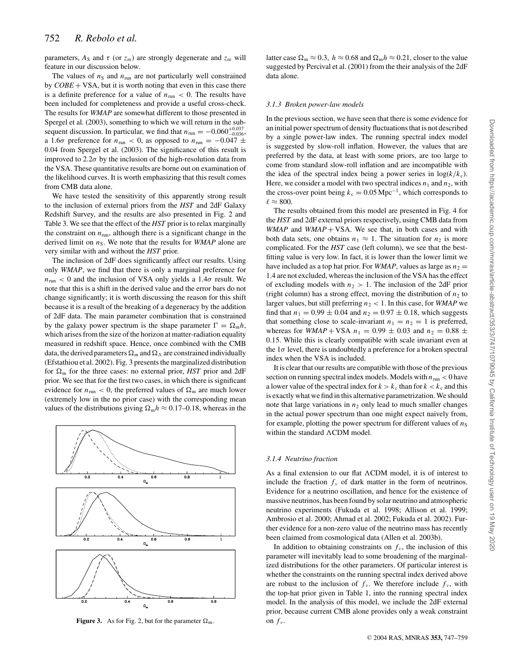parameters,  $A_S$  and  $\tau$  (or  $z_{\text{re}}$ ) are strongly degenerate and  $z_{\text{re}}$  will feature in our discussion below.

The values of  $n<sub>S</sub>$  and  $n<sub>run</sub>$  are not particularly well constrained by  $COBE + VSA$ , but it is worth noting that even in this case there is a definite preference for a value of  $n_{run} < 0$ . The results have been included for completeness and provide a useful cross-check. The results for *WMAP* are somewhat different to those presented in Spergel et al. (2003), something to which we will return in the subsequent discussion. In particular, we find that  $n_{\text{run}} = -0.060_{-0.036}^{+0.037}$ , a 1.6 $\sigma$  preference for  $n_{\text{run}} < 0$ , as opposed to  $n_{\text{run}} = -0.047 \pm 0.047$ 0.04 from Spergel et al. (2003). The significance of this result is improved to 2.2 $\sigma$  by the inclusion of the high-resolution data from the VSA. These quantitative results are borne out on examination of the likelihood curves. It is worth emphasizing that this result comes from CMB data alone.

We have tested the sensitivity of this apparently strong result to the inclusion of external priors from the *HST* and 2dF Galaxy Redshift Survey, and the results are also presented in Fig. 2 and Table 3. We see that the effect of the *HST* prior is to relax marginally the constraint on  $n_{run}$ , although there is a significant change in the derived limit on  $n<sub>S</sub>$ . We note that the results for *WMAP* alone are very similar with and without the *HST* prior.

The inclusion of 2dF does significantly affect our results. Using only *WMAP*, we find that there is only a marginal preference for  $n_{\text{run}}$  < 0 and the inclusion of VSA only yields a 1.4 $\sigma$  result. We note that this is a shift in the derived value and the error bars do not change significantly; it is worth discussing the reason for this shift because it is a result of the breaking of a degeneracy by the addition of 2dF data. The main parameter combination that is constrained by the galaxy power spectrum is the shape parameter  $\Gamma = \Omega_{\rm m} h$ , which arises from the size of the horizon at matter-radiation equality measured in redshift space. Hence, once combined with the CMB data, the derived parameters  $\Omega_{\rm m}$  and  $\Omega_{\Lambda}$  are constrained individually (Efstathiou et al. 2002). Fig. 3 presents the marginalized distribution for  $\Omega_{\rm m}$  for the three cases: no external prior, *HST* prior and 2dF prior. We see that for the first two cases, in which there is significant evidence for  $n_{\text{run}} < 0$ , the preferred values of  $\Omega_{\text{m}}$  are much lower (extremely low in the no prior case) with the corresponding mean values of the distributions giving  $\Omega_m h \approx 0.17{\text -}0.18$ , whereas in the



**Figure 3.** As for Fig. 2, but for the parameter  $\Omega_{\rm m}$ .

latter case  $\Omega_m \approx 0.3$ ,  $h \approx 0.68$  and  $\Omega_m h \approx 0.21$ , closer to the value suggested by Percival et al. (2001) from the their analysis of the 2dF data alone.

### *3.1.3 Broken power-law models*

In the previous section, we have seen that there is some evidence for an initial power spectrum of density fluctuations that is not described by a single power-law index. The running spectral index model is suggested by slow-roll inflation. However, the values that are preferred by the data, at least with some priors, are too large to come from standard slow-roll inflation and are incompatible with the idea of the spectral index being a power series in  $log(k/k_c)$ . Here, we consider a model with two spectral indices  $n_1$  and  $n_2$ , with the cross-over point being  $k_c = 0.05$  Mpc<sup>-1</sup>, which corresponds to  $\ell \approx 800.$ 

The results obtained from this model are presented in Fig. 4 for the *HST* and 2dF external priors respectively, using CMB data from *WMAP* and *WMAP* + VSA. We see that, in both cases and with both data sets, one obtains  $n_1 \approx 1$ . The situation for  $n_2$  is more complicated. For the *HST* case (left column), we see that the bestfitting value is very low. In fact, it is lower than the lower limit we have included as a top hat prior. For *WMAP*, values as large as  $n_2$  = 1.4 are not excluded, whereas the inclusion of the VSA has the effect of excluding models with  $n_2 > 1$ . The inclusion of the 2dF prior (right column) has a strong effect, moving the distribution of  $n_2$  to larger values, but still preferring  $n_2 < 1$ . In this case, for *WMAP* we find that  $n_1 = 0.99 \pm 0.04$  and  $n_2 = 0.97 \pm 0.18$ , which suggests that something close to scale-invariant  $n_1 = n_2 = 1$  is preferred, whereas for *WMAP* + VSA  $n_1 = 0.99 \pm 0.03$  and  $n_2 = 0.88 \pm 0.03$ 0.15. While this is clearly compatible with scale invariant even at the  $1\sigma$  level, there is undoubtedly a preference for a broken spectral index when the VSA is included.

It is clear that our results are compatible with those of the previous section on running spectral index models. Models with  $n_{\text{run}} < 0$  have a lower value of the spectral index for  $k > k_c$  than for  $k < k_c$  and this is exactly what we find in this alternative parametrization. We should note that large variations in  $n_2$  only lead to much smaller changes in the actual power spectrum than one might expect naively from, for example, plotting the power spectrum for different values of  $n<sub>S</sub>$ within the standard  $\Lambda$ CDM model.

#### *3.1.4 Neutrino fraction*

As a final extension to our flat  $\Lambda$ CDM model, it is of interest to include the fraction  $f_{\nu}$  of dark matter in the form of neutrinos. Evidence for a neutrino oscillation, and hence for the existence of massive neutrinos, has been found by solar neutrino and atmospheric neutrino experiments (Fukuda et al. 1998; Allison et al. 1999; Ambrosio et al. 2000; Ahmad et al. 2002; Fukuda et al. 2002). Further evidence for a non-zero value of the neutrino mass has recently been claimed from cosmological data (Allen et al. 2003b).

In addition to obtaining constraints on  $f_{\nu}$ , the inclusion of this parameter will inevitably lead to some broadening of the marginalized distributions for the other parameters. Of particular interest is whether the constraints on the running spectral index derived above are robust to the inclusion of  $f_{\nu}$ . We therefore include  $f_{\nu}$ , with the top-hat prior given in Table 1, into the running spectral index model. In the analysis of this model, we include the 2dF external prior, because current CMB alone provides only a weak constraint on  $f_{\nu}$ .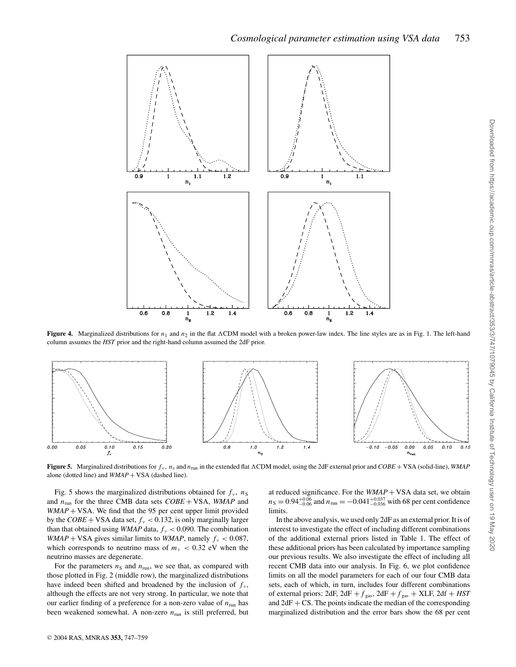

**Figure 4.** Marginalized distributions for  $n_1$  and  $n_2$  in the flat ACDM model with a broken power-law index. The line styles are as in Fig. 1. The left-hand column assumes the *HST* prior and the right-hand column assumed the 2dF prior.



**Figure 5.** Marginalized distributions for  $f_v$ ,  $n_s$  and  $n_{run}$  in the extended flat  $\Lambda$ CDM model, using the 2dF external prior and  $\textit{COBE}$  + VSA (solid-line), *WMAP* alone (dotted line) and *WMAP* + VSA (dashed line).

Fig. 5 shows the marginalized distributions obtained for  $f_\nu$ ,  $n_S$ and *n*run for the three CMB data sets *COBE* + VSA, *WMAP* and *WMAP* + VSA. We find that the 95 per cent upper limit provided by the  $COBE$  + VSA data set,  $f_v$  < 0.132, is only marginally larger than that obtained using *WMAP* data,  $f_v < 0.090$ . The combination *WMAP* + VSA gives similar limits to *WMAP*, namely  $f_v < 0.087$ , which corresponds to neutrino mass of  $m_v < 0.32$  eV when the neutrino masses are degenerate.

For the parameters  $n<sub>S</sub>$  and  $n<sub>run</sub>$ , we see that, as compared with those plotted in Fig. 2 (middle row), the marginalized distributions have indeed been shifted and broadened by the inclusion of  $f_{\nu}$ , although the effects are not very strong. In particular, we note that our earlier finding of a preference for a non-zero value of  $n_{run}$  has been weakened somewhat. A non-zero  $n<sub>run</sub>$  is still preferred, but

at reduced significance. For the  $WMAP + VSA$  data set, we obtain  $n_S = 0.94^{+0.06}_{-0.06}$  and  $n_{\text{run}} = -0.041^{+0.037}_{-0.036}$  with 68 per cent confidence limits.

In the above analysis, we used only 2dF as an external prior. It is of interest to investigate the effect of including different combinations of the additional external priors listed in Table 1. The effect of these additional priors has been calculated by importance sampling our previous results. We also investigate the effect of including all recent CMB data into our analysis. In Fig. 6, we plot confidence limits on all the model parameters for each of our four CMB data sets, each of which, in turn, includes four different combinations of external priors: 2dF,  $2dF + f_{gas}$ ,  $2dF + f_{gas}$  + XLF,  $2df + HST$ and  $2dF + CS$ . The points indicate the median of the corresponding marginalized distribution and the error bars show the 68 per cent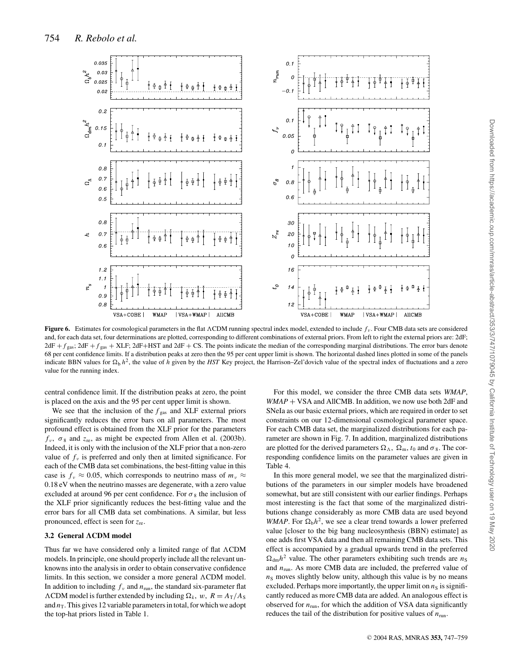

**Figure 6.** Estimates for cosmological parameters in the flat  $\Lambda$ CDM running spectral index model, extended to include  $f_\nu$ . Four CMB data sets are considered and, for each data set, four determinations are plotted, corresponding to different combinations of external priors. From left to right the external priors are: 2dF;  $2dF + f_{gas}$ ;  $2dF + f_{gas}$  + XLF;  $2dF + HST$  and  $2dF + CS$ . The points indicate the median of the corresponding marginal distributions. The error bars denote 68 per cent confidence limits. If a distribution peaks at zero then the 95 per cent upper limit is shown. The horizontal dashed lines plotted in some of the panels indicate BBN values for  $\Omega_b h^2$ , the value of *h* given by the *HST* Key project, the Harrison–Zel'dovich value of the spectral index of fluctuations and a zero value for the running index.

central confidence limit. If the distribution peaks at zero, the point is placed on the axis and the 95 per cent upper limit is shown.

We see that the inclusion of the  $f_{\text{gas}}$  and XLF external priors significantly reduces the error bars on all parameters. The most profound effect is obtained from the XLF prior for the parameters  $f_v$ ,  $\sigma_8$  and  $z_{\rm re}$ , as might be expected from Allen et al. (2003b). Indeed, it is only with the inclusion of the XLF prior that a non-zero value of  $f_v$  is preferred and only then at limited significance. For each of the CMB data set combinations, the best-fitting value in this case is  $f_v \approx 0.05$ , which corresponds to neutrino mass of  $m_v \approx$ 0.18 eV when the neutrino masses are degenerate, with a zero value excluded at around 96 per cent confidence. For  $\sigma_8$  the inclusion of the XLF prior significantly reduces the best-fitting value and the error bars for all CMB data set combinations. A similar, but less pronounced, effect is seen for *z*re.

## **3.2 General ΛCDM model**

Thus far we have considered only a limited range of flat  $\Lambda$ CDM models. In principle, one should properly include all the relevant unknowns into the analysis in order to obtain conservative confidence limits. In this section, we consider a more general  $\Lambda$ CDM model. In addition to including  $f_\nu$  and  $n_{\text{run}}$ , the standard six-parameter flat  $\Lambda$ CDM model is further extended by including  $\Omega_k$ , w,  $R = A_T/A_S$ and  $n<sub>T</sub>$ . This gives 12 variable parameters in total, for which we adopt the top-hat priors listed in Table 1.

For this model, we consider the three CMB data sets *WMAP*, *WMAP* + VSA and AllCMB. In addition, we now use both 2dF and SNeIa as our basic external priors, which are required in order to set constraints on our 12-dimensional cosmological parameter space. For each CMB data set, the marginalized distributions for each parameter are shown in Fig. 7. In addition, marginalized distributions are plotted for the derived parameters  $\Omega_{\Lambda}$ ,  $\Omega_{\rm m}$ ,  $t_0$  and  $\sigma_8$ . The corresponding confidence limits on the parameter values are given in Table 4.

In this more general model, we see that the marginalized distributions of the parameters in our simpler models have broadened somewhat, but are still consistent with our earlier findings. Perhaps most interesting is the fact that some of the marginalized distributions change considerably as more CMB data are used beyond *WMAP*. For  $\Omega_b h^2$ , we see a clear trend towards a lower preferred value [closer to the big bang nucleosynthesis (BBN) estimate] as one adds first VSA data and then all remaining CMB data sets. This effect is accompanied by a gradual upwards trend in the preferred  $\Omega_{dm}h^2$  value. The other parameters exhibiting such trends are  $n_S$ and *n*run. As more CMB data are included, the preferred value of  $n<sub>S</sub>$  moves slightly below unity, although this value is by no means excluded. Perhaps more importantly, the upper limit on  $n<sub>S</sub>$  is significantly reduced as more CMB data are added. An analogous effect is observed for  $n_{run}$ , for which the addition of VSA data significantly reduces the tail of the distribution for positive values of  $n_{\text{run}}$ .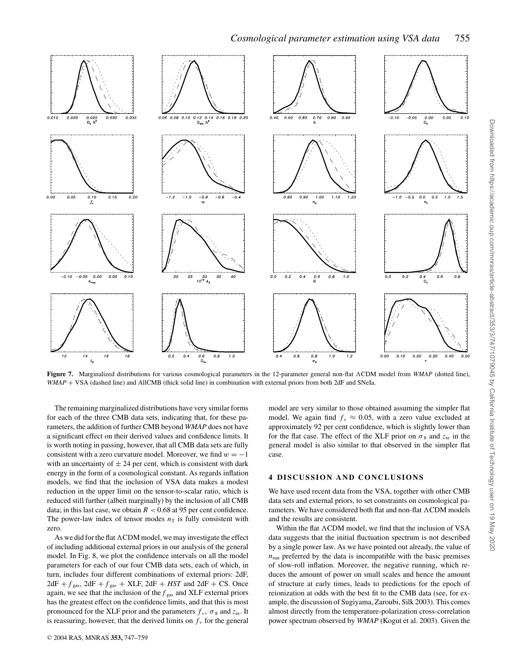

Figure 7. Marginalized distributions for various cosmological parameters in the 12-parameter general non-flat  $\Lambda$ CDM model from *WMAP* (dotted line), *WMAP* + VSA (dashed line) and AllCMB (thick solid line) in combination with external priors from both 2dF and SNeIa.

The remaining marginalized distributions have very similar forms for each of the three CMB data sets, indicating that, for these parameters, the addition of further CMB beyond *WMAP* does not have a significant effect on their derived values and confidence limits. It is worth noting in passing, however, that all CMB data sets are fully consistent with a zero curvature model. Moreover, we find  $w = -1$ with an uncertainty of  $\pm 24$  per cent, which is consistent with dark energy in the form of a cosmological constant. As regards inflation models, we find that the inclusion of VSA data makes a modest reduction in the upper limit on the tensor-to-scalar ratio, which is reduced still further (albeit marginally) by the inclusion of all CMB data; in this last case, we obtain  $R < 0.68$  at 95 per cent confidence. The power-law index of tensor modes  $n<sub>T</sub>$  is fully consistent with zero.

As we did for the flat  $\Lambda$ CDM model, we may investigate the effect of including additional external priors in our analysis of the general model. In Fig. 8, we plot the confidence intervals on all the model parameters for each of our four CMB data sets, each of which, in turn, includes four different combinations of external priors: 2dF,  $2dF + f_{gas}$ ,  $2dF + f_{gas}$  + XLF,  $2dF + HST$  and  $2dF + CS$ . Once again, we see that the inclusion of the  $f_{\text{gas}}$  and XLF external priors has the greatest effect on the confidence limits, and that this is most pronounced for the XLF prior and the parameters  $f_\nu$ ,  $\sigma_8$  and  $z_{\rm re}$ . It is reassuring, however, that the derived limits on  $f_{\nu}$  for the general

<sup>C</sup> 2004 RAS, MNRAS **353,** 747–759

model are very similar to those obtained assuming the simpler flat model. We again find  $f_v \approx 0.05$ , with a zero value excluded at approximately 92 per cent confidence, which is slightly lower than for the flat case. The effect of the XLF prior on  $\sigma_8$  and  $z_{\text{re}}$  in the general model is also similar to that observed in the simpler flat case.

# **4 DISCUSSION AND CONCLUSIONS**

We have used recent data from the VSA, together with other CMB data sets and external priors, to set constraints on cosmological parameters. We have considered both flat and non-flat  $\Lambda$ CDM models and the results are consistent.

Within the flat  $\Lambda$ CDM model, we find that the inclusion of VSA data suggests that the initial fluctuation spectrum is not described by a single power law. As we have pointed out already, the value of  $n<sub>run</sub>$  preferred by the data is incompatible with the basic premises of slow-roll inflation. Moreover, the negative running, which reduces the amount of power on small scales and hence the amount of structure at early times, leads to predictions for the epoch of reionization at odds with the best fit to the CMB data (see, for example, the discussion of Sugiyama, Zaroubi, Silk 2003). This comes almost directly from the temperature-polarization cross-correlation power spectrum observed by *WMAP* (Kogut et al. 2003). Given the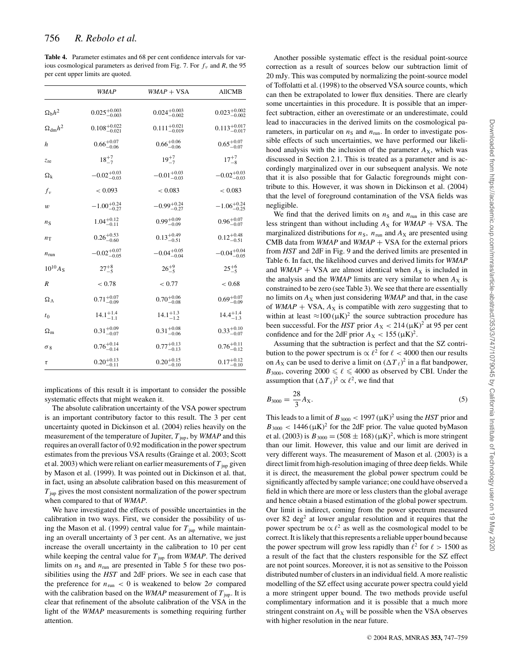**Table 4.** Parameter estimates and 68 per cent confidence intervals for various cosmological parameters as derived from Fig. 7. For  $f<sub>v</sub>$  and *R*, the 95 per cent upper limits are quoted.

|                      | <b>WMAP</b>               | $WMAP + VSA$              | <b>AllCMB</b>             |  |
|----------------------|---------------------------|---------------------------|---------------------------|--|
| $\Omega_{\rm b}h^2$  | $0.025_{-0.003}^{+0.003}$ | $0.024_{-0.002}^{+0.003}$ | $0.023_{-0.002}^{+0.002}$ |  |
| $\Omega_{\rm dm}h^2$ | $0.108^{+0.022}_{-0.021}$ | $0.111_{-0.019}^{+0.021}$ | $0.113_{-0.017}^{+0.017}$ |  |
| $\boldsymbol{h}$     | $0.66^{+0.07}_{-0.06}$    | $0.66^{+0.06}_{-0.06}$    | $0.65^{+0.07}_{-0.07}$    |  |
| $z_{\rm re}$         | $18^{+7}_{-7}$            | $19^{+7}_{-7}$            | $17^{+7}_{-8}$            |  |
| $\Omega_{\rm k}$     | $-0.02_{-0.03}^{+0.03}$   | $-0.01_{-0.03}^{+0.03}$   | $-0.02_{-0.03}^{+0.03}$   |  |
| $f_v$                | < 0.093                   | < 0.083                   | < 0.083                   |  |
| $\boldsymbol{w}$     | $-1.00^{+0.24}_{-0.27}$   | $-0.99_{-0.27}^{+0.24}$   | $-1.06_{-0.25}^{+0.24}$   |  |
| $n_{\rm S}$          | $1.04^{+0.12}_{-0.11}$    | $0.99^{+0.09}_{-0.09}$    | $0.96_{-0.07}^{+0.07}$    |  |
| $n_{\rm T}$          | $0.26_{-0.60}^{+0.53}$    | $0.13^{+0.49}_{-0.51}$    | $0.12^{+0.48}_{-0.51}$    |  |
| $n_{\text{run}}$     | $-0.02_{-0.05}^{+0.07}$   | $-0.04_{-0.04}^{+0.05}$   | $-0.04_{-0.05}^{+0.04}$   |  |
| $10^{10} A_{S}$      | $27^{+8}_{-5}$            | $26^{+9}_{-5}$            | $25^{+6}_{-5}$            |  |
| R                    | < 0.78                    | < 0.77                    | < 0.68                    |  |
| $\Omega_{\Lambda}$   | $0.71^{+0.07}_{-0.09}$    | $0.70^{+0.06}_{-0.08}$    | $0.69^{+0.07}_{-0.09}$    |  |
| t <sub>0</sub>       | $14.1^{+1.4}_{-1.1}$      | $14.1^{+1.3}_{-1.2}$      | $14.4^{+1.4}_{-1.3}$      |  |
| $\Omega_{\rm m}$     | $0.31_{-0.07}^{+0.09}$    | $0.31_{-0.06}^{+0.08}$    | $0.33_{-0.07}^{+0.10}$    |  |
| $\sigma_8$           | $0.76^{+0.14}_{-0.14}$    | $0.77^{+0.13}_{-0.13}$    | $0.76^{+0.11}_{-0.12}$    |  |
| τ                    | $0.20^{+0.13}_{-0.11}$    | $0.20^{+0.15}_{-0.10}$    | $0.17^{+0.12}_{-0.10}$    |  |

implications of this result it is important to consider the possible systematic effects that might weaken it.

The absolute calibration uncertainty of the VSA power spectrum is an important contributory factor to this result. The 3 per cent uncertainty quoted in Dickinson et al. (2004) relies heavily on the measurement of the temperature of Jupiter,  $T_{\text{ion}}$ , by *WMAP* and this requires an overall factor of 0.92 modification in the power spectrum estimates from the previous VSA results (Grainge et al. 2003; Scott et al. 2003) which were reliant on earlier measurements of  $T_{\text{jup}}$  given by Mason et al. (1999). It was pointed out in Dickinson et al. that, in fact, using an absolute calibration based on this measurement of  $T_{\text{inp}}$  gives the most consistent normalization of the power spectrum when compared to that of *WMAP*.

We have investigated the effects of possible uncertainties in the calibration in two ways. First, we consider the possibility of using the Mason et al. (1999) central value for  $T_{\text{imp}}$  while maintaining an overall uncertainty of 3 per cent. As an alternative, we just increase the overall uncertainty in the calibration to 10 per cent while keeping the central value for  $T_{jup}$  from *WMAP*. The derived limits on  $n<sub>S</sub>$  and  $n<sub>run</sub>$  are presented in Table 5 for these two possibilities using the *HST* and 2dF priors. We see in each case that the preference for  $n_{\text{run}} < 0$  is weakened to below  $2\sigma$  compared with the calibration based on the *WMAP* measurement of  $T_{\text{iup}}$ . It is clear that refinement of the absolute calibration of the VSA in the light of the *WMAP* measurements is something requiring further attention.

Another possible systematic effect is the residual point-source correction as a result of sources below our subtraction limit of 20 mJy. This was computed by normalizing the point-source model of Toffolatti et al. (1998) to the observed VSA source counts, which can then be extrapolated to lower flux densities. There are clearly some uncertainties in this procedure. It is possible that an imperfect subtraction, either an overestimate or an underestimate, could lead to inaccuracies in the derived limits on the cosmological parameters, in particular on  $n<sub>S</sub>$  and  $n<sub>run</sub>$ . In order to investigate possible effects of such uncertainties, we have performed our likelihood analysis with the inclusion of the parameter  $A_X$ , which was discussed in Section 2.1. This is treated as a parameter and is accordingly marginalized over in our subsequent analysis. We note that it is also possible that for Galactic foregrounds might contribute to this. However, it was shown in Dickinson et al. (2004) that the level of foreground contamination of the VSA fields was negligible.

We find that the derived limits on  $n<sub>S</sub>$  and  $n<sub>run</sub>$  in this case are less stringent than without including  $A_X$  for *WMAP* + VSA. The marginalized distributions for  $n<sub>S</sub>$ ,  $n<sub>run</sub>$  and  $A<sub>X</sub>$  are presented using CMB data from *WMAP* and *WMAP* + VSA for the external priors from *HST* and 2dF in Fig. 9 and the derived limits are presented in Table 6. In fact, the likelihood curves and derived limits for *WMAP* and *WMAP* + VSA are almost identical when  $A_X$  is included in the analysis and the *WMAP* limits are very similar to when  $A_X$  is constrained to be zero (see Table 3). We see that there are essentially no limits on  $A_X$  when just considering *WMAP* and that, in the case of *WMAP* + VSA,  $A_X$  is compatible with zero suggesting that to within at least  $\approx 100 \, (\mu K)^2$  the source subtraction procedure has been successful. For the *HST* prior  $A_X < 214 \, (\mu{\rm K})^2$  at 95 per cent confidence and for the 2dF prior  $A_X < 155 \, (\mu K)^2$ .

Assuming that the subtraction is perfect and that the SZ contribution to the power spectrum is  $\alpha \ell^2$  for  $\ell < 4000$  then our results on  $A_X$  can be used to derive a limit on  $(\Delta T_\ell)^2$  in a flat bandpower,  $B_{3000}$ , covering  $2000 \le \ell \le 4000$  as observed by CBI. Under the assumption that  $(\Delta T_{\ell})^2 \propto \ell^2$ , we find that

$$
B_{3000} = \frac{28}{3} A_{\rm X}.
$$
 (5)

This leads to a limit of  $B_{3000} < 1997 \, (\mu K)^2$  using the *HST* prior and  $B_{3000}$  < 1446 ( $\mu$ K)<sup>2</sup> for the 2dF prior. The value quoted byMason et al. (2003) is  $B_{3000} = (508 \pm 168) (\mu\text{K})^2$ , which is more stringent than our limit. However, this value and our limit are derived in very different ways. The measurement of Mason et al. (2003) is a direct limit from high-resolution imaging of three deep fields. While it is direct, the measurement the global power spectrum could be significantly affected by sample variance; one could have observed a field in which there are more or less clusters than the global average and hence obtain a biased estimation of the global power spectrum. Our limit is indirect, coming from the power spectrum measured over 82 deg<sup>2</sup> at lower angular resolution and it requires that the power spectrum be  $\propto \ell^2$  as well as the cosmological model to be correct. It is likely that this represents a reliable upper bound because the power spectrum will grow less rapidly than  $\ell^2$  for  $\ell > 1500$  as a result of the fact that the clusters responsible for the SZ effect are not point sources. Moreover, it is not as sensitive to the Poisson distributed number of clusters in an individual field. A more realistic modelling of the SZ effect using accurate power spectra could yield a more stringent upper bound. The two methods provide useful complimentary information and it is possible that a much more stringent constraint on  $A_X$  will be possible when the VSA observes with higher resolution in the near future.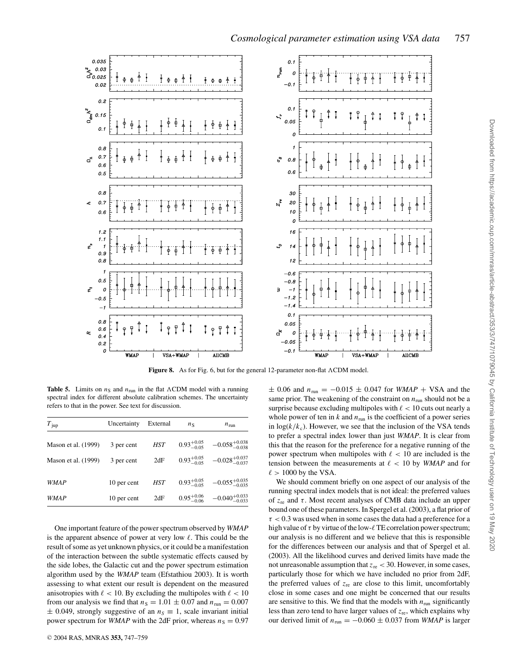

Figure 8. As for Fig. 6, but for the general 12-parameter non-flat  $\Lambda$ CDM model

**Table 5.** Limits on  $n<sub>S</sub>$  and  $n<sub>run</sub>$  in the flat  $\Lambda$ CDM model with a running spectral index for different absolute calibration schemes. The uncertainty refers to that in the power. See text for discussion.

| $T_{\text{jup}}$    | Uncertainty | External | $n_{\rm S}$            | $n_{\text{run}}$           |  |
|---------------------|-------------|----------|------------------------|----------------------------|--|
| Mason et al. (1999) | 3 per cent  | HST      | $0.93^{+0.05}_{-0.05}$ | $-0.058_{-0.038}^{+0.038}$ |  |
| Mason et al. (1999) | 3 per cent  | 2dF      | $0.93^{+0.05}_{-0.05}$ | $-0.028_{-0.037}^{+0.037}$ |  |
|                     |             |          |                        |                            |  |
| <b>WMAP</b>         | 10 per cent | HST      | $0.93^{+0.05}_{-0.05}$ | $-0.055_{-0.035}^{+0.035}$ |  |
| <i>WMAP</i>         | 10 per cent | 2dF      | $0.95^{+0.06}_{-0.06}$ | $-0.040_{-0.033}^{+0.033}$ |  |

One important feature of the power spectrum observed by *WMAP* is the apparent absence of power at very low  $\ell$ . This could be the result of some as yet unknown physics, or it could be a manifestation of the interaction between the subtle systematic effects caused by the side lobes, the Galactic cut and the power spectrum estimation algorithm used by the *WMAP* team (Efstathiou 2003). It is worth assessing to what extent our result is dependent on the measured anisotropies with  $\ell$  < 10. By excluding the multipoles with  $\ell$  < 10 from our analysis we find that  $n<sub>S</sub> = 1.01 \pm 0.07$  and  $n<sub>run</sub> = 0.007$  $\pm$  0.049, strongly suggestive of an  $n<sub>S</sub> \equiv 1$ , scale invariant initial power spectrum for *WMAP* with the 2dF prior, whereas  $n<sub>S</sub> = 0.97$ 

 $\pm$  0.06 and  $n_{\text{run}} = -0.015 \pm 0.047$  for *WMAP* + VSA and the same prior. The weakening of the constraint on  $n_{\text{run}}$  should not be a surprise because excluding multipoles with  $\ell < 10$  cuts out nearly a whole power of ten in  $k$  and  $n_{\text{run}}$  is the coefficient of a power series in  $log(k/k_c)$ . However, we see that the inclusion of the VSA tends to prefer a spectral index lower than just *WMAP*. It is clear from this that the reason for the preference for a negative running of the power spectrum when multipoles with  $\ell < 10$  are included is the tension between the measurements at  $\ell$  < 10 by *WMAP* and for  $\ell > 1000$  by the VSA.

We should comment briefly on one aspect of our analysis of the running spectral index models that is not ideal: the preferred values of  $z_{\text{re}}$  and  $\tau$ . Most recent analyses of CMB data include an upper bound one of these parameters. In Spergel et al. (2003), a flat prior of  $\tau$  < 0.3 was used when in some cases the data had a preference for a high value of  $\tau$  by virtue of the low- $\ell$  TE correlation power spectrum; our analysis is no different and we believe that this is responsible for the differences between our analysis and that of Spergel et al. (2003). All the likelihood curves and derived limits have made the not unreasonable assumption that  $z_{\text{re}} < 30$ . However, in some cases, particularly those for which we have included no prior from 2dF, the preferred values of  $z_{\text{re}}$  are close to this limit, uncomfortably close in some cases and one might be concerned that our results are sensitive to this. We find that the models with  $n_{run}$  significantly less than zero tend to have larger values of *z*re, which explains why our derived limit of  $n_{\text{run}} = -0.060 \pm 0.037$  from *WMAP* is larger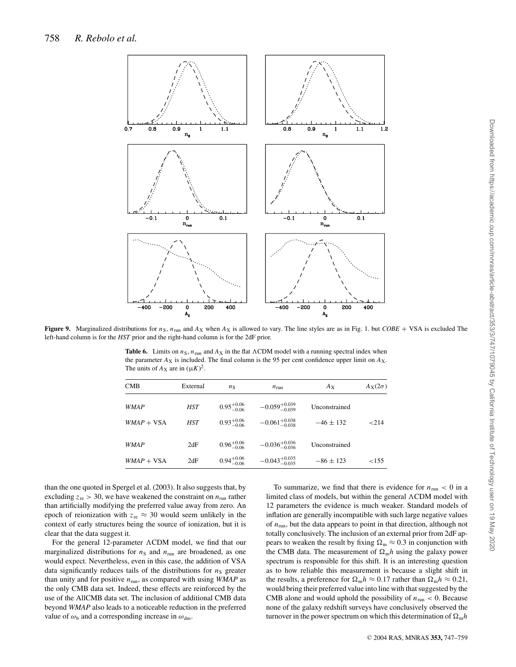

**Figure 9.** Marginalized distributions for  $n_S$ ,  $n_{run}$  and  $A_X$  when  $A_X$  is allowed to vary. The line styles are as in Fig. 1. but *COBE* + VSA is excluded The left-hand column is for the *HST* prior and the right-hand column is for the 2dF prior.

**Table 6.** Limits on  $n_S$ ,  $n_{run}$  and  $A_X$  in the flat  $\Lambda$ CDM model with a running spectral index when the parameter  $A_X$  is included. The final column is the 95 per cent confidence upper limit on  $A_X$ . The units of  $A_X$  are in  $(\mu K)^2$ .

| <b>CMB</b>   | External | $n_{\rm S}$            | $n_{\text{run}}$           | $A_X$         | $A_X(2\sigma)$ |
|--------------|----------|------------------------|----------------------------|---------------|----------------|
| <i>WMAP</i>  | HST      | $0.95^{+0.06}_{-0.06}$ | $-0.059_{-0.039}^{+0.039}$ | Unconstrained |                |
| $WMAP + VSA$ | HST      | $0.93^{+0.06}_{-0.06}$ | $-0.061_{-0.038}^{+0.038}$ | $-46 \pm 132$ | ${<}214$       |
| <i>WMAP</i>  | 2dF      | $0.96^{+0.06}_{-0.06}$ | $-0.036_{-0.036}^{+0.036}$ | Unconstrained |                |
| $WMAP + VSA$ | 2dF      | $0.94^{+0.06}_{-0.06}$ | $-0.043_{-0.035}^{+0.035}$ | $-86 \pm 123$ | ${<}155$       |

than the one quoted in Spergel et al. (2003). It also suggests that, by excluding  $z_{\text{re}} > 30$ , we have weakened the constraint on  $n_{\text{run}}$  rather than artificially modifying the preferred value away from zero. An epoch of reionization with  $z_{\text{re}} \approx 30$  would seem unlikely in the context of early structures being the source of ionization, but it is clear that the data suggest it.

For the general 12-parameter  $\Lambda$ CDM model, we find that our marginalized distributions for  $n<sub>S</sub>$  and  $n<sub>run</sub>$  are broadened, as one would expect. Nevertheless, even in this case, the addition of VSA data significantly reduces tails of the distributions for  $n<sub>S</sub>$  greater than unity and for positive *n*run, as compared with using *WMAP* as the only CMB data set. Indeed, these effects are reinforced by the use of the AllCMB data set. The inclusion of additional CMB data beyond *WMAP* also leads to a noticeable reduction in the preferred value of  $\omega_{\rm b}$  and a corresponding increase in  $\omega_{\rm dm}$ .

To summarize, we find that there is evidence for  $n_{run} < 0$  in a limited class of models, but within the general  $\Lambda$ CDM model with 12 parameters the evidence is much weaker. Standard models of inflation are generally incompatible with such large negative values of  $n_{run}$ , but the data appears to point in that direction, although not totally conclusively. The inclusion of an external prior from 2dF appears to weaken the result by fixing  $\Omega_m \approx 0.3$  in conjunction with the CMB data. The measurement of  $\Omega_m h$  using the galaxy power spectrum is responsible for this shift. It is an interesting question as to how reliable this measurement is because a slight shift in the results, a preference for  $\Omega_m h \approx 0.17$  rather than  $\Omega_m h \approx 0.21$ , would bring their preferred value into line with that suggested by the CMB alone and would uphold the possibility of  $n_{run} < 0$ . Because none of the galaxy redshift surveys have conclusively observed the turnover in the power spectrum on which this determination of  $\Omega_m h$